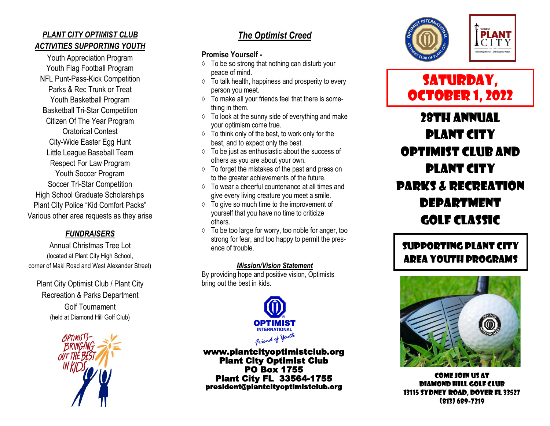### *PLANT CITY OPTIMIST CLUB ACTIVITIES SUPPORTING YOUTH*

Youth Appreciation Program Youth Flag Football Program NFL Punt-Pass-Kick Competition Parks & Rec Trunk or Treat Youth Basketball Program Basketball Tri-Star Competition Citizen Of The Year Program Oratorical Contest City-Wide Easter Egg Hunt Little League Baseball Team Respect For Law Program Youth Soccer Program Soccer Tri-Star Competition High School Graduate Scholarships Plant City Police "Kid Comfort Packs" Various other area requests as they arise

#### *FUNDRAISERS*

Annual Christmas Tree Lot (located at Plant City High School, corner of Maki Road and West Alexander Street)

Plant City Optimist Club / Plant City Recreation & Parks Department Golf Tournament (held at Diamond Hill Golf Club)



## *The Optimist Creed*

#### **Promise Yourself -**

- $\Diamond$  To be so strong that nothing can disturb your peace of mind.
- $\Diamond$  To talk health, happiness and prosperity to every person you meet.
- $\Diamond$  To make all your friends feel that there is something in them.
- $\Diamond$  To look at the sunny side of everything and make your optimism come true.
- $\Diamond$  To think only of the best, to work only for the best, and to expect only the best.
- $\Diamond$  To be just as enthusiastic about the success of others as you are about your own.
- $\Diamond$  To forget the mistakes of the past and press on to the greater achievements of the future.
- To wear a cheerful countenance at all times and give every living creature you meet a smile.
- $\Diamond$  To give so much time to the improvement of yourself that you have no time to criticize others.
- $\Diamond$  To be too large for worry, too noble for anger, too strong for fear, and too happy to permit the presence of trouble.

#### *Mission/Vision Statement*

By providing hope and positive vision, Optimists bring out the best in kids.



www.plantcityoptimistclub.org Plant City Optimist Club PO Box 1755 Plant City FL 33564-1755 president@plantcityoptimistclub.org





# SATURDAY, OCTOBER 1, 2022

28TH ANNUAL PLANT CITY OPTIMIST CLUB AND PLANT CITY PARKS & RECREATION DEPARTMENT GOLF CLASSIC

# Supporting Plant City area youth programs



COME JOIN US AT DIAMOND HILL GOLF CLUB 13115 SYDNEY ROAD, DOVER FL 33527 (813) 689-7219